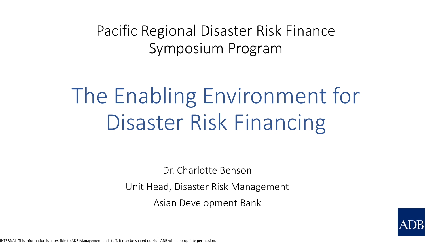Pacific Regional Disaster Risk Finance Symposium Program

# The Enabling Environment for Disaster Risk Financing

Dr. Charlotte Benson Unit Head, Disaster Risk Management Asian Development Bank

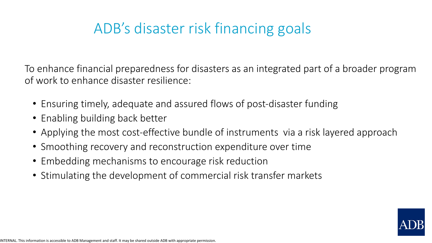# ADB's disaster risk financing goals

To enhance financial preparedness for disasters as an integrated part of a broader program of work to enhance disaster resilience:

- Ensuring timely, adequate and assured flows of post-disaster funding
- Enabling building back better
- Applying the most cost-effective bundle of instruments via a risk layered approach
- Smoothing recovery and reconstruction expenditure over time
- Embedding mechanisms to encourage risk reduction
- Stimulating the development of commercial risk transfer markets

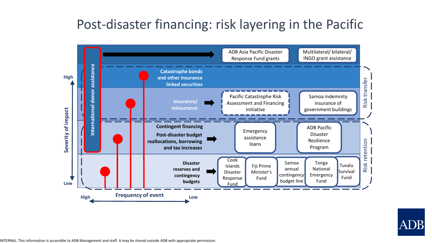### Post-disaster financing: risk layering in the Pacific



ADB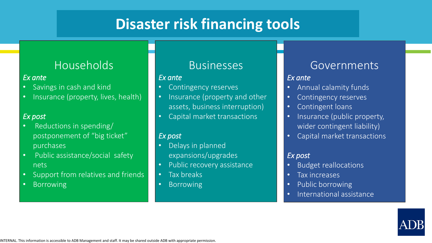## **Disaster risk financing tools**

#### Households

#### *Ex ante*

- Savings in cash and kind
- Insurance (property, lives, health)

#### *Ex post*

- Reductions in spending/ postponement of "big ticket" purchases
- Public assistance/social safety nets
- Support from relatives and friends
- Borrowing

#### Businesses

#### *Ex ante*

- Contingency reserves
- Insurance (property and other assets, business interruption)
- Capital market transactions

#### *Ex post*

- Delays in planned expansions/upgrades
- Public recovery assistance
- Tax breaks
- Borrowing

#### Governments

#### *Ex ante*

- Annual calamity funds
- Contingency reserves
- Contingent loans
- Insurance (public property, wider contingent liability)
- Capital market transactions

#### *Ex post*

- Budget reallocations
- Tax increases
- Public borrowing
- International assistance



INTERNAL. This information is accessible to ADB Management and staff. It may be shared outside ADB with appropriate permission.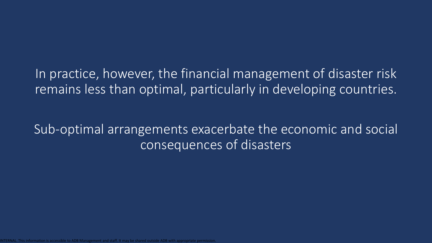#### In practice, however, the financial management of disaster risk remains less than optimal, particularly in developing countries.

### Sub-optimal arrangements exacerbate the economic and social consequences of disasters

be shared outside ADB with appr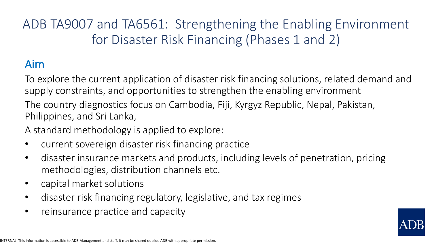### ADB TA9007 and TA6561: Strengthening the Enabling Environment for Disaster Risk Financing (Phases 1 and 2)

### Aim

To explore the current application of disaster risk financing solutions, related demand and supply constraints, and opportunities to strengthen the enabling environment

The country diagnostics focus on Cambodia, Fiji, Kyrgyz Republic, Nepal, Pakistan, Philippines, and Sri Lanka,

A standard methodology is applied to explore:

- current sovereign disaster risk financing practice
- disaster insurance markets and products, including levels of penetration, pricing methodologies, distribution channels etc.
- capital market solutions
- disaster risk financing regulatory, legislative, and tax regimes
- reinsurance practice and capacity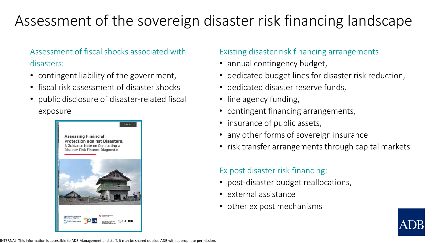# Assessment of the sovereign disaster risk financing landscape

#### Assessment of fiscal shocks associated with disasters:

- contingent liability of the government,
- fiscal risk assessment of disaster shocks
- public disclosure of disaster-related fiscal exposure



#### Existing disaster risk financing arrangements

- annual contingency budget,
- dedicated budget lines for disaster risk reduction,
- dedicated disaster reserve funds,
- line agency funding,
- contingent financing arrangements,
- insurance of public assets,
- any other forms of sovereign insurance
- risk transfer arrangements through capital markets

#### Ex post disaster risk financing:

- post-disaster budget reallocations,
- external assistance
- other ex post mechanisms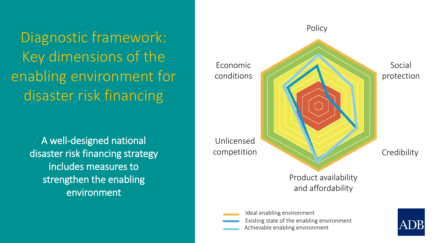Diagnostic framework: Key dimensions of the enabling environment for disaster risk financing

> A well-designed national disaster risk financing strategy includes measures to strengthen the enabling environment

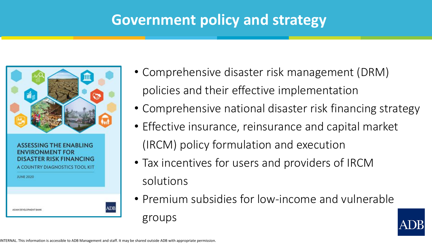### **Government policy and strategy**



- Comprehensive disaster risk management (DRM) policies and their effective implementation
- Comprehensive national disaster risk financing strategy
- Effective insurance, reinsurance and capital market (IRCM) policy formulation and execution
- Tax incentives for users and providers of IRCM solutions
- Premium subsidies for low-income and vulnerable groups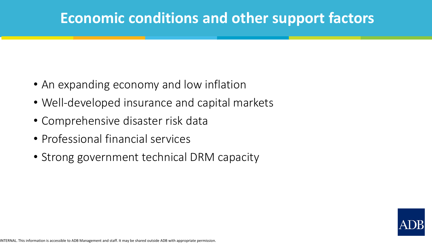### **Economic conditions and other support factors**

- An expanding economy and low inflation
- Well-developed insurance and capital markets
- Comprehensive disaster risk data
- Professional financial services
- Strong government technical DRM capacity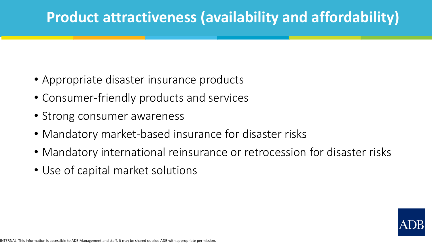## **Product attractiveness (availability and affordability)**

- Appropriate disaster insurance products
- Consumer-friendly products and services
- Strong consumer awareness
- Mandatory market-based insurance for disaster risks
- Mandatory international reinsurance or retrocession for disaster risks
- Use of capital market solutions

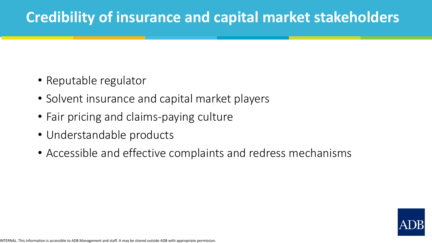### **Credibility of insurance and capital market stakeholders**

- Reputable regulator
- Solvent insurance and capital market players
- Fair pricing and claims-paying culture
- Understandable products
- Accessible and effective complaints and redress mechanisms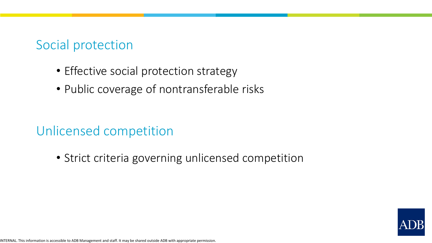#### Social protection

- Effective social protection strategy
- Public coverage of nontransferable risks

### Unlicensed competition

• Strict criteria governing unlicensed competition